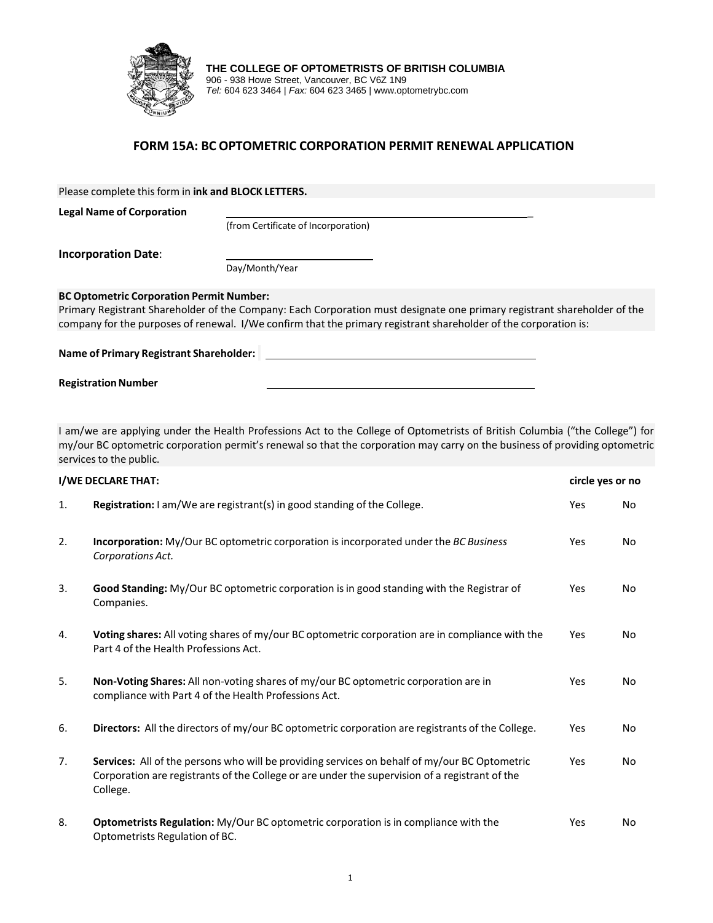

**THE COLLEGE OF OPTOMETRISTS OF BRITISH COLUMBIA** 906 - 938 Howe Street, Vancouver, BC V6Z 1N9 *Tel:* 604 623 3464 | *Fax:* 604 623 3465 | www.optometrybc.com

## **FORM 15A: BC OPTOMETRIC CORPORATION PERMIT RENEWAL APPLICATION**

Please complete this form in **ink and BLOCK LETTERS.**

**Legal Name of Corporation** \_

(from Certificate of Incorporation)

**Incorporation Date**:

Day/Month/Year

## **BC Optometric Corporation Permit Number:**

Primary Registrant Shareholder of the Company: Each Corporation must designate one primary registrant shareholder of the company for the purposes of renewal. I/We confirm that the primary registrant shareholder of the corporation is:

**Name of Primary Registrant Shareholder:** 

**Registration Number** 

I am/we are applying under the Health Professions Act to the College of Optometrists of British Columbia ("the College") for my/our BC optometric corporation permit's renewal so that the corporation may carry on the business of providing optometric services to the public.

| I/WE DECLARE THAT: |                                                                                                                                                                                                             |     | circle yes or no |  |
|--------------------|-------------------------------------------------------------------------------------------------------------------------------------------------------------------------------------------------------------|-----|------------------|--|
| 1.                 | <b>Registration:</b> I am/We are registrant(s) in good standing of the College.                                                                                                                             | Yes | <b>No</b>        |  |
| 2.                 | Incorporation: My/Our BC optometric corporation is incorporated under the BC Business<br>Corporations Act.                                                                                                  | Yes | No.              |  |
| 3.                 | Good Standing: My/Our BC optometric corporation is in good standing with the Registrar of<br>Companies.                                                                                                     | Yes | No.              |  |
| 4.                 | Voting shares: All voting shares of my/our BC optometric corporation are in compliance with the<br>Part 4 of the Health Professions Act.                                                                    | Yes | No.              |  |
| 5.                 | Non-Voting Shares: All non-voting shares of my/our BC optometric corporation are in<br>compliance with Part 4 of the Health Professions Act.                                                                | Yes | No.              |  |
| 6.                 | Directors: All the directors of my/our BC optometric corporation are registrants of the College.                                                                                                            | Yes | No.              |  |
| 7.                 | Services: All of the persons who will be providing services on behalf of my/our BC Optometric<br>Corporation are registrants of the College or are under the supervision of a registrant of the<br>College. | Yes | No.              |  |
| 8.                 | Optometrists Regulation: My/Our BC optometric corporation is in compliance with the<br>Optometrists Regulation of BC.                                                                                       | Yes | No.              |  |